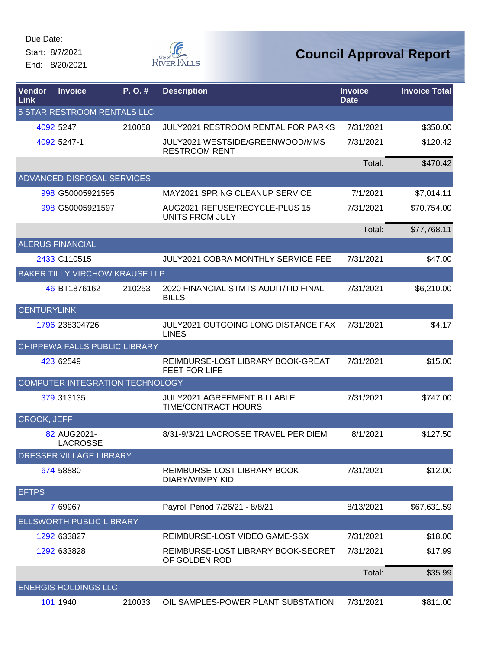Due Date: Start: 8/7/2021

End: 8/20/2021



| Vendor<br>Link     | <b>Invoice</b>                        | P. O. # | <b>Description</b>                                         | <b>Invoice</b><br><b>Date</b> | <b>Invoice Total</b> |
|--------------------|---------------------------------------|---------|------------------------------------------------------------|-------------------------------|----------------------|
|                    | <b>5 STAR RESTROOM RENTALS LLC</b>    |         |                                                            |                               |                      |
|                    | 4092 5247                             | 210058  | <b>JULY2021 RESTROOM RENTAL FOR PARKS</b>                  | 7/31/2021                     | \$350.00             |
|                    | 4092 5247-1                           |         | JULY2021 WESTSIDE/GREENWOOD/MMS<br><b>RESTROOM RENT</b>    | 7/31/2021                     | \$120.42             |
|                    |                                       |         |                                                            | Total:                        | \$470.42             |
|                    | <b>ADVANCED DISPOSAL SERVICES</b>     |         |                                                            |                               |                      |
|                    | 998 G50005921595                      |         | MAY2021 SPRING CLEANUP SERVICE                             | 7/1/2021                      | \$7,014.11           |
|                    | 998 G50005921597                      |         | AUG2021 REFUSE/RECYCLE-PLUS 15<br><b>UNITS FROM JULY</b>   | 7/31/2021                     | \$70,754.00          |
|                    |                                       |         |                                                            | Total:                        | \$77,768.11          |
|                    | <b>ALERUS FINANCIAL</b>               |         |                                                            |                               |                      |
|                    | 2433 C110515                          |         | JULY2021 COBRA MONTHLY SERVICE FEE                         | 7/31/2021                     | \$47.00              |
|                    | <b>BAKER TILLY VIRCHOW KRAUSE LLP</b> |         |                                                            |                               |                      |
|                    | 46 BT1876162                          | 210253  | 2020 FINANCIAL STMTS AUDIT/TID FINAL<br><b>BILLS</b>       | 7/31/2021                     | \$6,210.00           |
| <b>CENTURYLINK</b> |                                       |         |                                                            |                               |                      |
|                    | 1796 238304726                        |         | <b>JULY2021 OUTGOING LONG DISTANCE FAX</b><br><b>LINES</b> | 7/31/2021                     | \$4.17               |
|                    | CHIPPEWA FALLS PUBLIC LIBRARY         |         |                                                            |                               |                      |
|                    | 423 62549                             |         | REIMBURSE-LOST LIBRARY BOOK-GREAT<br>FEET FOR LIFE         | 7/31/2021                     | \$15.00              |
|                    | COMPUTER INTEGRATION TECHNOLOGY       |         |                                                            |                               |                      |
|                    | 379 313135                            |         | <b>JULY2021 AGREEMENT BILLABLE</b><br>TIME/CONTRACT HOURS  | 7/31/2021                     | \$747.00             |
| CROOK, JEFF        |                                       |         |                                                            |                               |                      |
|                    | 82 AUG2021-<br><b>LACROSSE</b>        |         | 8/31-9/3/21 LACROSSE TRAVEL PER DIEM                       | 8/1/2021                      | \$127.50             |
|                    | <b>DRESSER VILLAGE LIBRARY</b>        |         |                                                            |                               |                      |
|                    | 674 58880                             |         | REIMBURSE-LOST LIBRARY BOOK-<br>DIARY/WIMPY KID            | 7/31/2021                     | \$12.00              |
| <b>EFTPS</b>       |                                       |         |                                                            |                               |                      |
|                    | 7 69967                               |         | Payroll Period 7/26/21 - 8/8/21                            | 8/13/2021                     | \$67,631.59          |
|                    | <b>ELLSWORTH PUBLIC LIBRARY</b>       |         |                                                            |                               |                      |
|                    | 1292 633827                           |         | REIMBURSE-LOST VIDEO GAME-SSX                              | 7/31/2021                     | \$18.00              |
|                    | 1292 633828                           |         | REIMBURSE-LOST LIBRARY BOOK-SECRET<br>OF GOLDEN ROD        | 7/31/2021                     | \$17.99              |
|                    |                                       |         |                                                            | Total:                        | \$35.99              |
|                    | <b>ENERGIS HOLDINGS LLC</b>           |         |                                                            |                               |                      |
|                    | 101 1940                              | 210033  | OIL SAMPLES-POWER PLANT SUBSTATION                         | 7/31/2021                     | \$811.00             |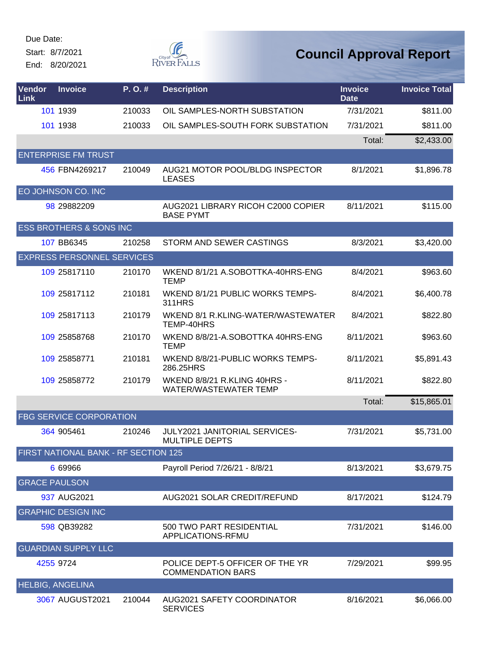Start: 8/7/2021

End: 8/20/2021



| <b>Vendor</b><br>Link | <b>Invoice</b>                       | P.O.#  | <b>Description</b>                                           | <b>Invoice</b><br><b>Date</b> | <b>Invoice Total</b> |
|-----------------------|--------------------------------------|--------|--------------------------------------------------------------|-------------------------------|----------------------|
|                       | 101 1939                             | 210033 | OIL SAMPLES-NORTH SUBSTATION                                 | 7/31/2021                     | \$811.00             |
|                       | 101 1938                             | 210033 | OIL SAMPLES-SOUTH FORK SUBSTATION                            | 7/31/2021                     | \$811.00             |
|                       |                                      |        |                                                              | Total:                        | \$2,433.00           |
|                       | <b>ENTERPRISE FM TRUST</b>           |        |                                                              |                               |                      |
|                       | 456 FBN4269217                       | 210049 | AUG21 MOTOR POOL/BLDG INSPECTOR<br><b>LEASES</b>             | 8/1/2021                      | \$1,896.78           |
|                       | EO JOHNSON CO. INC                   |        |                                                              |                               |                      |
|                       | 98 29882209                          |        | AUG2021 LIBRARY RICOH C2000 COPIER<br><b>BASE PYMT</b>       | 8/11/2021                     | \$115.00             |
|                       | <b>ESS BROTHERS &amp; SONS INC</b>   |        |                                                              |                               |                      |
|                       | 107 BB6345                           | 210258 | STORM AND SEWER CASTINGS                                     | 8/3/2021                      | \$3,420.00           |
|                       | <b>EXPRESS PERSONNEL SERVICES</b>    |        |                                                              |                               |                      |
|                       | 109 25817110                         | 210170 | WKEND 8/1/21 A.SOBOTTKA-40HRS-ENG<br><b>TEMP</b>             | 8/4/2021                      | \$963.60             |
|                       | 109 25817112                         | 210181 | WKEND 8/1/21 PUBLIC WORKS TEMPS-<br>311HRS                   | 8/4/2021                      | \$6,400.78           |
|                       | 109 25817113                         | 210179 | WKEND 8/1 R.KLING-WATER/WASTEWATER<br>TEMP-40HRS             | 8/4/2021                      | \$822.80             |
|                       | 109 25858768                         | 210170 | WKEND 8/8/21-A.SOBOTTKA 40HRS-ENG<br><b>TEMP</b>             | 8/11/2021                     | \$963.60             |
|                       | 109 25858771                         | 210181 | WKEND 8/8/21-PUBLIC WORKS TEMPS-<br>286.25HRS                | 8/11/2021                     | \$5,891.43           |
|                       | 109 25858772                         | 210179 | WKEND 8/8/21 R.KLING 40HRS -<br><b>WATER/WASTEWATER TEMP</b> | 8/11/2021                     | \$822.80             |
|                       |                                      |        |                                                              | Total:                        | \$15,865.01          |
|                       | <b>FBG SERVICE CORPORATION</b>       |        |                                                              |                               |                      |
|                       | 364 905461                           | 210246 | JULY2021 JANITORIAL SERVICES-<br><b>MULTIPLE DEPTS</b>       | 7/31/2021                     | \$5,731.00           |
|                       | FIRST NATIONAL BANK - RF SECTION 125 |        |                                                              |                               |                      |
|                       | 6 69966                              |        | Payroll Period 7/26/21 - 8/8/21                              | 8/13/2021                     | \$3,679.75           |
| <b>GRACE PAULSON</b>  |                                      |        |                                                              |                               |                      |
|                       | 937 AUG2021                          |        | AUG2021 SOLAR CREDIT/REFUND                                  | 8/17/2021                     | \$124.79             |
|                       | <b>GRAPHIC DESIGN INC</b>            |        |                                                              |                               |                      |
|                       | 598 QB39282                          |        | 500 TWO PART RESIDENTIAL<br>APPLICATIONS-RFMU                | 7/31/2021                     | \$146.00             |
|                       | <b>GUARDIAN SUPPLY LLC</b>           |        |                                                              |                               |                      |
|                       | 4255 9724                            |        | POLICE DEPT-5 OFFICER OF THE YR<br><b>COMMENDATION BARS</b>  | 7/29/2021                     | \$99.95              |
|                       | <b>HELBIG, ANGELINA</b>              |        |                                                              |                               |                      |
|                       | 3067 AUGUST2021                      | 210044 | AUG2021 SAFETY COORDINATOR<br><b>SERVICES</b>                | 8/16/2021                     | \$6,066.00           |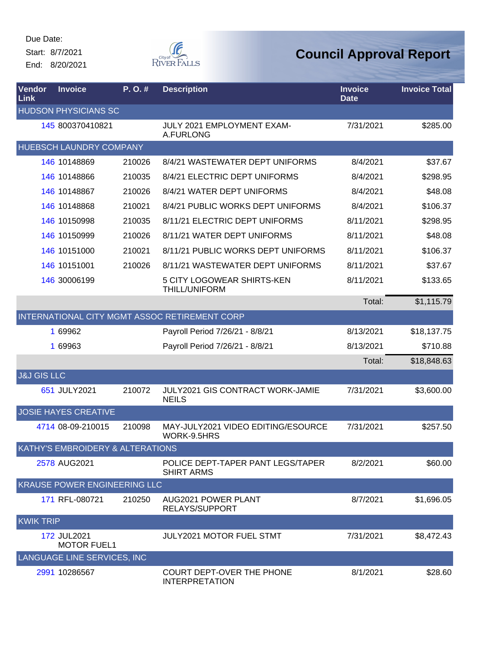Start: 8/7/2021 End: 8/20/2021



| Vendor<br>Link         | <b>Invoice</b>                    | P.O.#  | <b>Description</b>                                     | <b>Invoice</b><br><b>Date</b> | <b>Invoice Total</b> |
|------------------------|-----------------------------------|--------|--------------------------------------------------------|-------------------------------|----------------------|
|                        | <b>HUDSON PHYSICIANS SC</b>       |        |                                                        |                               |                      |
|                        | 145 800370410821                  |        | JULY 2021 EMPLOYMENT EXAM-<br>A.FURLONG                | 7/31/2021                     | \$285.00             |
|                        | HUEBSCH LAUNDRY COMPANY           |        |                                                        |                               |                      |
|                        | 146 10148869                      | 210026 | 8/4/21 WASTEWATER DEPT UNIFORMS                        | 8/4/2021                      | \$37.67              |
|                        | 146 10148866                      | 210035 | 8/4/21 ELECTRIC DEPT UNIFORMS                          | 8/4/2021                      | \$298.95             |
|                        | 146 10148867                      | 210026 | 8/4/21 WATER DEPT UNIFORMS                             | 8/4/2021                      | \$48.08              |
|                        | 146 10148868                      | 210021 | 8/4/21 PUBLIC WORKS DEPT UNIFORMS                      | 8/4/2021                      | \$106.37             |
|                        | 146 10150998                      | 210035 | 8/11/21 ELECTRIC DEPT UNIFORMS                         | 8/11/2021                     | \$298.95             |
|                        | 146 10150999                      | 210026 | 8/11/21 WATER DEPT UNIFORMS                            | 8/11/2021                     | \$48.08              |
|                        | 146 10151000                      | 210021 | 8/11/21 PUBLIC WORKS DEPT UNIFORMS                     | 8/11/2021                     | \$106.37             |
|                        | 146 10151001                      | 210026 | 8/11/21 WASTEWATER DEPT UNIFORMS                       | 8/11/2021                     | \$37.67              |
|                        | 146 30006199                      |        | 5 CITY LOGOWEAR SHIRTS-KEN<br>THILL/UNIFORM            | 8/11/2021                     | \$133.65             |
|                        |                                   |        |                                                        | Total:                        | \$1,115.79           |
|                        |                                   |        | INTERNATIONAL CITY MGMT ASSOC RETIREMENT CORP          |                               |                      |
|                        | 1 69962                           |        | Payroll Period 7/26/21 - 8/8/21                        | 8/13/2021                     | \$18,137.75          |
|                        | 1 69963                           |        | Payroll Period 7/26/21 - 8/8/21                        | 8/13/2021                     | \$710.88             |
|                        |                                   |        |                                                        | Total:                        | \$18,848.63          |
| <b>J&amp;J GIS LLC</b> |                                   |        |                                                        |                               |                      |
|                        | 651 JULY2021                      | 210072 | JULY2021 GIS CONTRACT WORK-JAMIE<br><b>NEILS</b>       | 7/31/2021                     | \$3,600.00           |
|                        | <b>JOSIE HAYES CREATIVE</b>       |        |                                                        |                               |                      |
|                        | 4714 08-09-210015                 | 210098 | MAY-JULY2021 VIDEO EDITING/ESOURCE<br>WORK-9.5HRS      | 7/31/2021                     | \$257.50             |
|                        | KATHY'S EMBROIDERY & ALTERATIONS  |        |                                                        |                               |                      |
|                        | 2578 AUG2021                      |        | POLICE DEPT-TAPER PANT LEGS/TAPER<br><b>SHIRT ARMS</b> | 8/2/2021                      | \$60.00              |
|                        | KRAUSE POWER ENGINEERING LLC      |        |                                                        |                               |                      |
|                        | 171 RFL-080721                    | 210250 | AUG2021 POWER PLANT<br>RELAYS/SUPPORT                  | 8/7/2021                      | \$1,696.05           |
| <b>KWIK TRIP</b>       |                                   |        |                                                        |                               |                      |
|                        | 172 JUL2021<br><b>MOTOR FUEL1</b> |        | <b>JULY2021 MOTOR FUEL STMT</b>                        | 7/31/2021                     | \$8,472.43           |
|                        | LANGUAGE LINE SERVICES, INC       |        |                                                        |                               |                      |
|                        | 2991 10286567                     |        | COURT DEPT-OVER THE PHONE<br><b>INTERPRETATION</b>     | 8/1/2021                      | \$28.60              |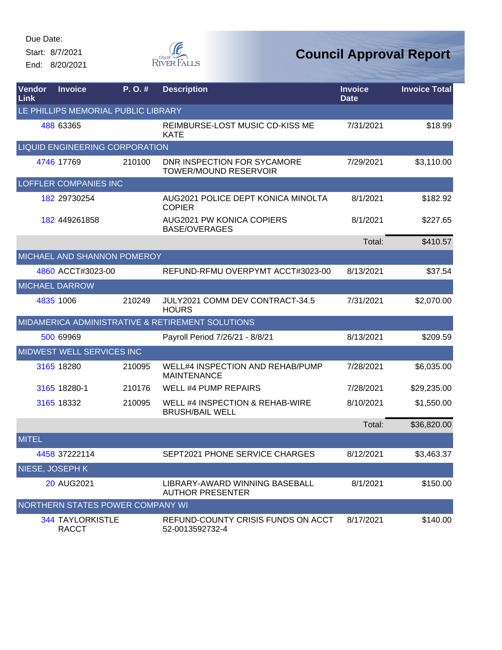Start: 8/7/2021 End: 8/20/2021



| <b>Vendor</b><br>Link | <b>Invoice</b>                          | P.O.#  | <b>Description</b>                                            | <b>Invoice</b><br><b>Date</b> | <b>Invoice Total</b> |  |  |  |
|-----------------------|-----------------------------------------|--------|---------------------------------------------------------------|-------------------------------|----------------------|--|--|--|
|                       | LE PHILLIPS MEMORIAL PUBLIC LIBRARY     |        |                                                               |                               |                      |  |  |  |
|                       | 488 63365                               |        | REIMBURSE-LOST MUSIC CD-KISS ME<br><b>KATE</b>                | 7/31/2021                     | \$18.99              |  |  |  |
|                       | <b>LIQUID ENGINEERING CORPORATION</b>   |        |                                                               |                               |                      |  |  |  |
|                       | 4746 17769                              | 210100 | DNR INSPECTION FOR SYCAMORE<br><b>TOWER/MOUND RESERVOIR</b>   | 7/29/2021                     | \$3,110.00           |  |  |  |
|                       | LOFFLER COMPANIES INC                   |        |                                                               |                               |                      |  |  |  |
|                       | 182 29730254                            |        | AUG2021 POLICE DEPT KONICA MINOLTA<br><b>COPIER</b>           | 8/1/2021                      | \$182.92             |  |  |  |
|                       | 182 449261858                           |        | AUG2021 PW KONICA COPIERS<br><b>BASE/OVERAGES</b>             | 8/1/2021                      | \$227.65             |  |  |  |
|                       |                                         |        |                                                               | Total:                        | \$410.57             |  |  |  |
|                       | <b>MICHAEL AND SHANNON POMEROY</b>      |        |                                                               |                               |                      |  |  |  |
|                       | 4860 ACCT#3023-00                       |        | REFUND-RFMU OVERPYMT ACCT#3023-00                             | 8/13/2021                     | \$37.54              |  |  |  |
|                       | <b>MICHAEL DARROW</b>                   |        |                                                               |                               |                      |  |  |  |
|                       | 4835 1006                               | 210249 | JULY2021 COMM DEV CONTRACT-34.5<br><b>HOURS</b>               | 7/31/2021                     | \$2,070.00           |  |  |  |
|                       |                                         |        | MIDAMERICA ADMINISTRATIVE & RETIREMENT SOLUTIONS              |                               |                      |  |  |  |
|                       | 500 69969                               |        | Payroll Period 7/26/21 - 8/8/21                               | 8/13/2021                     | \$209.59             |  |  |  |
|                       | MIDWEST WELL SERVICES INC               |        |                                                               |                               |                      |  |  |  |
|                       | 3165 18280                              | 210095 | <b>WELL#4 INSPECTION AND REHAB/PUMP</b><br><b>MAINTENANCE</b> | 7/28/2021                     | \$6,035.00           |  |  |  |
|                       | 3165 18280-1                            | 210176 | WELL #4 PUMP REPAIRS                                          | 7/28/2021                     | \$29,235.00          |  |  |  |
|                       | 3165 18332                              | 210095 | WELL #4 INSPECTION & REHAB-WIRE<br><b>BRUSH/BAIL WELL</b>     | 8/10/2021                     | \$1,550.00           |  |  |  |
|                       |                                         |        |                                                               | Total:                        | \$36,820.00          |  |  |  |
| <b>MITEL</b>          |                                         |        |                                                               |                               |                      |  |  |  |
|                       | 4458 37222114                           |        | SEPT2021 PHONE SERVICE CHARGES                                | 8/12/2021                     | \$3,463.37           |  |  |  |
| NIESE, JOSEPH K       |                                         |        |                                                               |                               |                      |  |  |  |
|                       | 20 AUG2021                              |        | LIBRARY-AWARD WINNING BASEBALL<br><b>AUTHOR PRESENTER</b>     | 8/1/2021                      | \$150.00             |  |  |  |
|                       | NORTHERN STATES POWER COMPANY WI        |        |                                                               |                               |                      |  |  |  |
|                       | <b>344 TAYLORKISTLE</b><br><b>RACCT</b> |        | REFUND-COUNTY CRISIS FUNDS ON ACCT<br>52-0013592732-4         | 8/17/2021                     | \$140.00             |  |  |  |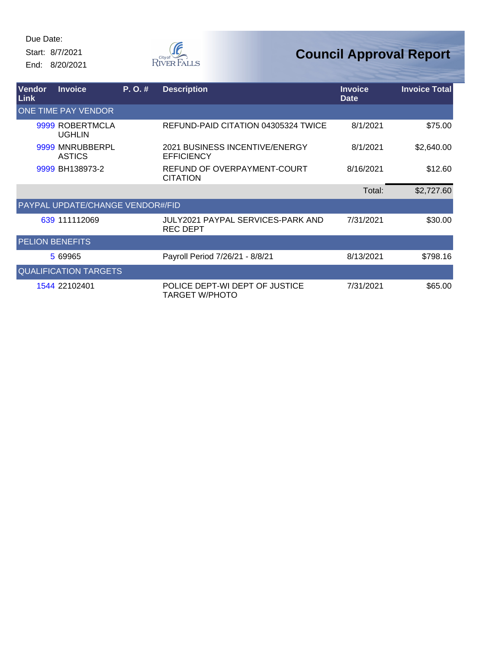Start: 8/7/2021 End: 8/20/2021



| <b>Vendor</b>          | <b>Invoice</b>                          | P. O. # | <b>Description</b>                                      | <b>Invoice</b> | <b>Invoice Total</b> |
|------------------------|-----------------------------------------|---------|---------------------------------------------------------|----------------|----------------------|
| <b>Link</b>            |                                         |         |                                                         | <b>Date</b>    |                      |
|                        | <b>ONE TIME PAY VENDOR</b>              |         |                                                         |                |                      |
|                        | 9999 ROBERTMCLA<br><b>UGHLIN</b>        |         | REFUND-PAID CITATION 04305324 TWICE                     | 8/1/2021       | \$75.00              |
|                        | 9999 MNRUBBERPL<br><b>ASTICS</b>        |         | 2021 BUSINESS INCENTIVE/ENERGY<br><b>EFFICIENCY</b>     | 8/1/2021       | \$2,640.00           |
|                        | 9999 BH138973-2                         |         | REFUND OF OVERPAYMENT-COURT<br><b>CITATION</b>          | 8/16/2021      | \$12.60              |
|                        |                                         |         |                                                         | Total:         | \$2,727.60           |
|                        | <b>PAYPAL UPDATE/CHANGE VENDOR#/FID</b> |         |                                                         |                |                      |
|                        | 639 111112069                           |         | JULY2021 PAYPAL SERVICES-PARK AND<br><b>REC DEPT</b>    | 7/31/2021      | \$30.00              |
| <b>PELION BENEFITS</b> |                                         |         |                                                         |                |                      |
|                        | 5 69965                                 |         | Payroll Period 7/26/21 - 8/8/21                         | 8/13/2021      | \$798.16             |
|                        | <b>QUALIFICATION TARGETS</b>            |         |                                                         |                |                      |
|                        | 1544 22102401                           |         | POLICE DEPT-WI DEPT OF JUSTICE<br><b>TARGET W/PHOTO</b> | 7/31/2021      | \$65.00              |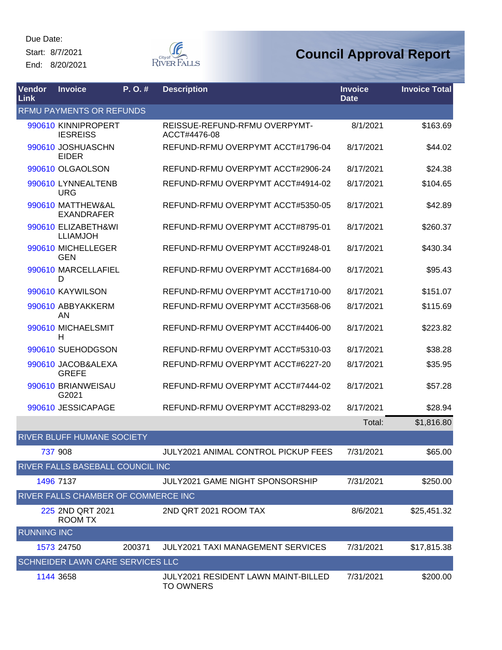Due Date: Start: 8/7/2021

End: 8/20/2021



| Vendor<br><b>Link</b> | <b>Invoice</b>                         | P. O. # | <b>Description</b>                                      | <b>Invoice</b><br><b>Date</b> | <b>Invoice Total</b> |
|-----------------------|----------------------------------------|---------|---------------------------------------------------------|-------------------------------|----------------------|
|                       | <b>RFMU PAYMENTS OR REFUNDS</b>        |         |                                                         |                               |                      |
|                       | 990610 KINNIPROPERT<br><b>IESREISS</b> |         | REISSUE-REFUND-RFMU OVERPYMT-<br>ACCT#4476-08           | 8/1/2021                      | \$163.69             |
|                       | 990610 JOSHUASCHN<br><b>EIDER</b>      |         | REFUND-RFMU OVERPYMT ACCT#1796-04                       | 8/17/2021                     | \$44.02              |
|                       | 990610 OLGAOLSON                       |         | REFUND-RFMU OVERPYMT ACCT#2906-24                       | 8/17/2021                     | \$24.38              |
|                       | 990610 LYNNEALTENB<br><b>URG</b>       |         | REFUND-RFMU OVERPYMT ACCT#4914-02                       | 8/17/2021                     | \$104.65             |
|                       | 990610 MATTHEW&AL<br><b>EXANDRAFER</b> |         | REFUND-RFMU OVERPYMT ACCT#5350-05                       | 8/17/2021                     | \$42.89              |
|                       | 990610 ELIZABETH&WI<br><b>LLIAMJOH</b> |         | REFUND-RFMU OVERPYMT ACCT#8795-01                       | 8/17/2021                     | \$260.37             |
|                       | 990610 MICHELLEGER<br><b>GEN</b>       |         | REFUND-RFMU OVERPYMT ACCT#9248-01                       | 8/17/2021                     | \$430.34             |
|                       | 990610 MARCELLAFIEL<br>D               |         | REFUND-RFMU OVERPYMT ACCT#1684-00                       | 8/17/2021                     | \$95.43              |
|                       | 990610 KAYWILSON                       |         | REFUND-RFMU OVERPYMT ACCT#1710-00                       | 8/17/2021                     | \$151.07             |
|                       | 990610 ABBYAKKERM<br>AN                |         | REFUND-RFMU OVERPYMT ACCT#3568-06                       | 8/17/2021                     | \$115.69             |
|                       | 990610 MICHAELSMIT<br>Н                |         | REFUND-RFMU OVERPYMT ACCT#4406-00                       | 8/17/2021                     | \$223.82             |
|                       | 990610 SUEHODGSON                      |         | REFUND-RFMU OVERPYMT ACCT#5310-03                       | 8/17/2021                     | \$38.28              |
|                       | 990610 JACOB&ALEXA<br><b>GREFE</b>     |         | REFUND-RFMU OVERPYMT ACCT#6227-20                       | 8/17/2021                     | \$35.95              |
|                       | 990610 BRIANWEISAU<br>G2021            |         | REFUND-RFMU OVERPYMT ACCT#7444-02                       | 8/17/2021                     | \$57.28              |
|                       | 990610 JESSICAPAGE                     |         | REFUND-RFMU OVERPYMT ACCT#8293-02                       | 8/17/2021                     | \$28.94              |
|                       |                                        |         |                                                         | Total:                        | \$1,816.80           |
|                       | <b>RIVER BLUFF HUMANE SOCIETY</b>      |         |                                                         |                               |                      |
|                       | 737 908                                |         | JULY2021 ANIMAL CONTROL PICKUP FEES                     | 7/31/2021                     | \$65.00              |
|                       | RIVER FALLS BASEBALL COUNCIL INC       |         |                                                         |                               |                      |
|                       | 1496 7137                              |         | <b>JULY2021 GAME NIGHT SPONSORSHIP</b>                  | 7/31/2021                     | \$250.00             |
|                       | RIVER FALLS CHAMBER OF COMMERCE INC    |         |                                                         |                               |                      |
|                       | 225 2ND QRT 2021<br>ROOM TX            |         | 2ND QRT 2021 ROOM TAX                                   | 8/6/2021                      | \$25,451.32          |
| <b>RUNNING INC</b>    |                                        |         |                                                         |                               |                      |
|                       | 1573 24750                             | 200371  | <b>JULY2021 TAXI MANAGEMENT SERVICES</b>                | 7/31/2021                     | \$17,815.38          |
|                       | SCHNEIDER LAWN CARE SERVICES LLC       |         |                                                         |                               |                      |
|                       | 1144 3658                              |         | JULY2021 RESIDENT LAWN MAINT-BILLED<br><b>TO OWNERS</b> | 7/31/2021                     | \$200.00             |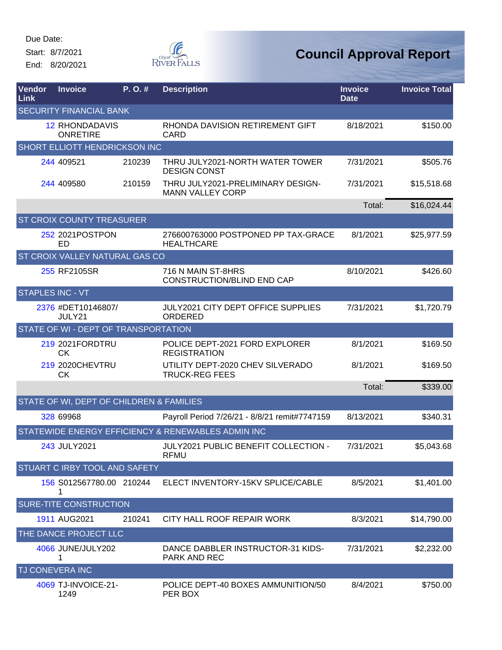Start: 8/7/2021

End: 8/20/2021



| <b>Vendor</b><br>Link | <b>Invoice</b>                           | P.O.#  | <b>Description</b>                                           | <b>Invoice</b><br><b>Date</b> | <b>Invoice Total</b> |
|-----------------------|------------------------------------------|--------|--------------------------------------------------------------|-------------------------------|----------------------|
|                       | <b>SECURITY FINANCIAL BANK</b>           |        |                                                              |                               |                      |
|                       | <b>12 RHONDADAVIS</b><br><b>ONRETIRE</b> |        | RHONDA DAVISION RETIREMENT GIFT<br>CARD                      | 8/18/2021                     | \$150.00             |
|                       | <b>SHORT ELLIOTT HENDRICKSON INC</b>     |        |                                                              |                               |                      |
|                       | 244 409521                               | 210239 | THRU JULY2021-NORTH WATER TOWER<br><b>DESIGN CONST</b>       | 7/31/2021                     | \$505.76             |
|                       | 244 409580                               | 210159 | THRU JULY2021-PRELIMINARY DESIGN-<br><b>MANN VALLEY CORP</b> | 7/31/2021                     | \$15,518.68          |
|                       |                                          |        |                                                              | Total:                        | \$16,024.44          |
|                       | <b>ST CROIX COUNTY TREASURER</b>         |        |                                                              |                               |                      |
|                       | 252 2021 POST PON<br>ED                  |        | 276600763000 POSTPONED PP TAX-GRACE<br><b>HEALTHCARE</b>     | 8/1/2021                      | \$25,977.59          |
|                       | ST CROIX VALLEY NATURAL GAS CO           |        |                                                              |                               |                      |
|                       | 255 RF2105SR                             |        | 716 N MAIN ST-8HRS<br>CONSTRUCTION/BLIND END CAP             | 8/10/2021                     | \$426.60             |
|                       | <b>STAPLES INC - VT</b>                  |        |                                                              |                               |                      |
|                       | 2376 #DET10146807/<br>JULY21             |        | <b>JULY2021 CITY DEPT OFFICE SUPPLIES</b><br>ORDERED         | 7/31/2021                     | \$1,720.79           |
|                       | STATE OF WI - DEPT OF TRANSPORTATION     |        |                                                              |                               |                      |
|                       | 219 2021 FORDTRU<br>СK                   |        | POLICE DEPT-2021 FORD EXPLORER<br><b>REGISTRATION</b>        | 8/1/2021                      | \$169.50             |
|                       | 219 2020CHEVTRU<br><b>CK</b>             |        | UTILITY DEPT-2020 CHEV SILVERADO<br><b>TRUCK-REG FEES</b>    | 8/1/2021                      | \$169.50             |
|                       |                                          |        |                                                              | Total:                        | \$339.00             |
|                       | STATE OF WI, DEPT OF CHILDREN & FAMILIES |        |                                                              |                               |                      |
|                       | 328 69968                                |        | Payroll Period 7/26/21 - 8/8/21 remit#7747159                | 8/13/2021                     | \$340.31             |
|                       |                                          |        | STATEWIDE ENERGY EFFICIENCY & RENEWABLES ADMIN INC           |                               |                      |
|                       | 243 JULY2021                             |        | JULY2021 PUBLIC BENEFIT COLLECTION -<br><b>RFMU</b>          | 7/31/2021                     | \$5,043.68           |
|                       | <b>STUART C IRBY TOOL AND SAFETY</b>     |        |                                                              |                               |                      |
|                       | 156 S012567780.00 210244<br>1            |        | ELECT INVENTORY-15KV SPLICE/CABLE                            | 8/5/2021                      | \$1,401.00           |
|                       | <b>SURE-TITE CONSTRUCTION</b>            |        |                                                              |                               |                      |
|                       | 1911 AUG2021                             | 210241 | CITY HALL ROOF REPAIR WORK                                   | 8/3/2021                      | \$14,790.00          |
|                       | THE DANCE PROJECT LLC                    |        |                                                              |                               |                      |
|                       | 4066 JUNE/JULY202<br>1                   |        | DANCE DABBLER INSTRUCTOR-31 KIDS-<br>PARK AND REC            | 7/31/2021                     | \$2,232.00           |
|                       | TJ CONEVERA INC                          |        |                                                              |                               |                      |
|                       | 4069 TJ-INVOICE-21-<br>1249              |        | POLICE DEPT-40 BOXES AMMUNITION/50<br>PER BOX                | 8/4/2021                      | \$750.00             |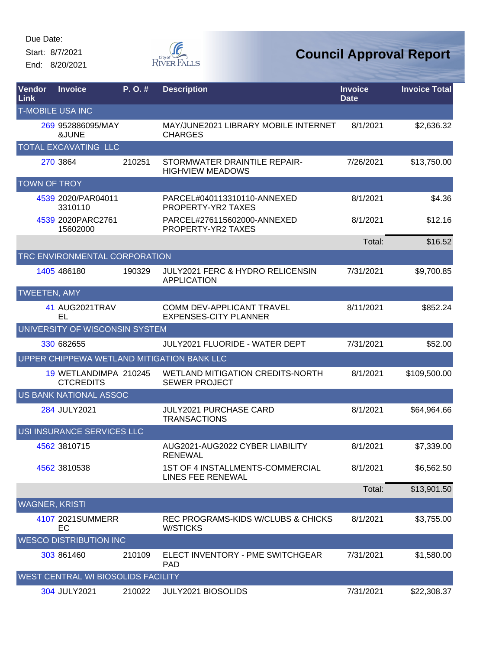Start: 8/7/2021 End: 8/20/2021

Œ RIVER FALLS

| Vendor<br>Link        | <b>Invoice</b>                            | P. O. # | <b>Description</b>                                               | <b>Invoice</b><br><b>Date</b> | <b>Invoice Total</b> |
|-----------------------|-------------------------------------------|---------|------------------------------------------------------------------|-------------------------------|----------------------|
|                       | <b>T-MOBILE USA INC</b>                   |         |                                                                  |                               |                      |
|                       | 269 952886095/MAY<br>&JUNE                |         | MAY/JUNE2021 LIBRARY MOBILE INTERNET<br><b>CHARGES</b>           | 8/1/2021                      | \$2,636.32           |
|                       | TOTAL EXCAVATING LLC                      |         |                                                                  |                               |                      |
|                       | 270 3864                                  | 210251  | STORMWATER DRAINTILE REPAIR-<br><b>HIGHVIEW MEADOWS</b>          | 7/26/2021                     | \$13,750.00          |
| <b>TOWN OF TROY</b>   |                                           |         |                                                                  |                               |                      |
|                       | 4539 2020/PAR04011<br>3310110             |         | PARCEL#040113310110-ANNEXED<br>PROPERTY-YR2 TAXES                | 8/1/2021                      | \$4.36               |
|                       | 4539 2020 PARC 2761<br>15602000           |         | PARCEL#276115602000-ANNEXED<br>PROPERTY-YR2 TAXES                | 8/1/2021                      | \$12.16              |
|                       |                                           |         |                                                                  | Total:                        | \$16.52              |
|                       | TRC ENVIRONMENTAL CORPORATION             |         |                                                                  |                               |                      |
|                       | 1405 486180                               | 190329  | JULY2021 FERC & HYDRO RELICENSIN<br><b>APPLICATION</b>           | 7/31/2021                     | \$9,700.85           |
| <b>TWEETEN, AMY</b>   |                                           |         |                                                                  |                               |                      |
|                       | 41 AUG2021TRAV<br>EL                      |         | <b>COMM DEV-APPLICANT TRAVEL</b><br><b>EXPENSES-CITY PLANNER</b> | 8/11/2021                     | \$852.24             |
|                       | UNIVERSITY OF WISCONSIN SYSTEM            |         |                                                                  |                               |                      |
|                       | 330 682655                                |         | JULY2021 FLUORIDE - WATER DEPT                                   | 7/31/2021                     | \$52.00              |
|                       |                                           |         | UPPER CHIPPEWA WETLAND MITIGATION BANK LLC                       |                               |                      |
|                       | 19 WETLANDIMPA 210245<br><b>CTCREDITS</b> |         | <b>WETLAND MITIGATION CREDITS-NORTH</b><br><b>SEWER PROJECT</b>  | 8/1/2021                      | \$109,500.00         |
|                       | US BANK NATIONAL ASSOC                    |         |                                                                  |                               |                      |
|                       | 284 JULY2021                              |         | <b>JULY2021 PURCHASE CARD</b><br><b>TRANSACTIONS</b>             | 8/1/2021                      | \$64,964.66          |
|                       | USI INSURANCE SERVICES LLC                |         |                                                                  |                               |                      |
|                       | 4562 3810715                              |         | AUG2021-AUG2022 CYBER LIABILITY<br><b>RENEWAL</b>                | 8/1/2021                      | \$7,339.00           |
|                       | 4562 3810538                              |         | 1ST OF 4 INSTALLMENTS-COMMERCIAL<br>LINES FEE RENEWAL            | 8/1/2021                      | \$6,562.50           |
|                       |                                           |         |                                                                  | Total:                        | \$13,901.50          |
| <b>WAGNER, KRISTI</b> |                                           |         |                                                                  |                               |                      |
|                       | 4107 2021SUMMERR<br>EC                    |         | REC PROGRAMS-KIDS W/CLUBS & CHICKS<br><b>W/STICKS</b>            | 8/1/2021                      | \$3,755.00           |
|                       | <b>WESCO DISTRIBUTION INC</b>             |         |                                                                  |                               |                      |
|                       | 303 861460                                | 210109  | ELECT INVENTORY - PME SWITCHGEAR<br><b>PAD</b>                   | 7/31/2021                     | \$1,580.00           |
|                       | WEST CENTRAL WI BIOSOLIDS FACILITY        |         |                                                                  |                               |                      |
|                       | 304 JULY2021                              | 210022  | JULY2021 BIOSOLIDS                                               | 7/31/2021                     | \$22,308.37          |